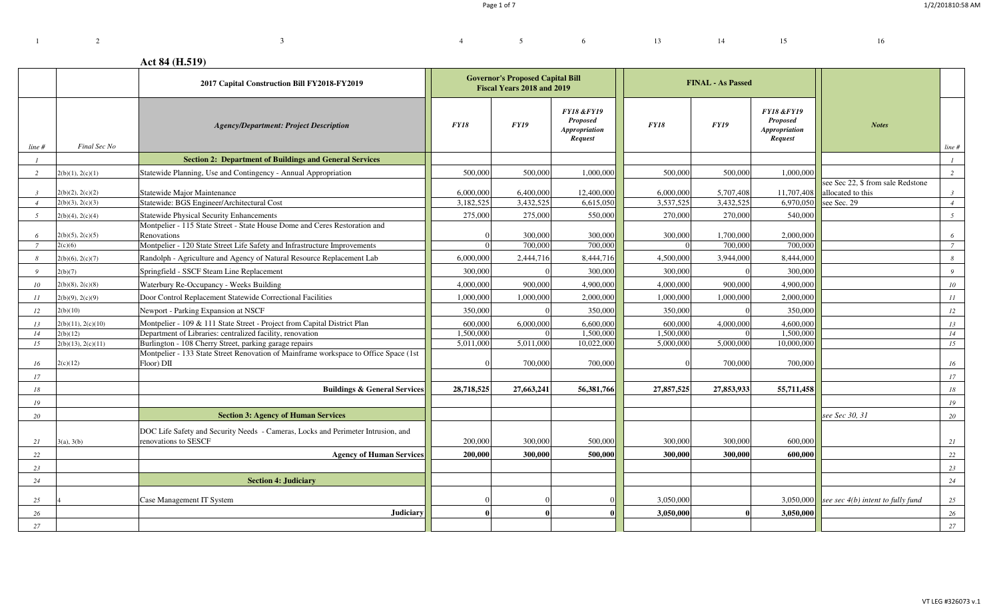$4 \t 5 \t 6 \t 13 \t 14 \t 15 \t 16$ 

# **Act 84 (H.519)**

<sup>3</sup>

|                                  |                                      | 2017 Capital Construction Bill FY2018-FY2019                                                                                          | <b>Governor's Proposed Capital Bill</b><br>Fiscal Years 2018 and 2019 |                        |                                                                             |                        | <b>FINAL - As Passed</b> |                                                                             |                                                                       |                                  |
|----------------------------------|--------------------------------------|---------------------------------------------------------------------------------------------------------------------------------------|-----------------------------------------------------------------------|------------------------|-----------------------------------------------------------------------------|------------------------|--------------------------|-----------------------------------------------------------------------------|-----------------------------------------------------------------------|----------------------------------|
| line #                           | Final Sec No                         | <b>Agency/Department: Project Description</b>                                                                                         | FY18                                                                  | FY19                   | <b>FY18 &amp;FY19</b><br><b>Proposed</b><br><b>Appropriation</b><br>Request | FY18                   | FY19                     | <b>FY18 &amp;FY19</b><br><b>Proposed</b><br><b>Appropriation</b><br>Request | <b>Notes</b>                                                          | line #                           |
|                                  |                                      | <b>Section 2: Department of Buildings and General Services</b>                                                                        |                                                                       |                        |                                                                             |                        |                          |                                                                             |                                                                       |                                  |
| 2                                | 2(b)(1), 2(c)(1)                     | Statewide Planning, Use and Contingency - Annual Appropriation                                                                        | 500,000                                                               | 500,000                | 1,000,000                                                                   | 500,000                | 500,000                  | 1,000,000                                                                   |                                                                       | 2                                |
| $\overline{3}$<br>$\overline{4}$ | 2(b)(2), 2(c)(2)<br>2(b)(3), 2(c)(3) | Statewide Major Maintenance<br>Statewide: BGS Engineer/Architectural Cost                                                             | 6,000,000<br>3,182,525                                                | 6,400,000<br>3,432,525 | 12,400,000<br>6,615,050                                                     | 6,000,000<br>3,537,525 | 5,707,408<br>3,432,525   | 11,707,408<br>6,970,050                                                     | see Sec 22, \$ from sale Redstone<br>allocated to this<br>see Sec. 29 | $\mathfrak{Z}$<br>$\overline{4}$ |
| $\sqrt{2}$                       | 2(b)(4), 2(c)(4)                     | <b>Statewide Physical Security Enhancements</b>                                                                                       | 275,000                                                               | 275,000                | 550,000                                                                     | 270,000                | 270,000                  | 540,000                                                                     |                                                                       | 5 <sup>5</sup>                   |
|                                  |                                      | Montpelier - 115 State Street - State House Dome and Ceres Restoration and                                                            |                                                                       |                        |                                                                             |                        |                          |                                                                             |                                                                       |                                  |
| -6                               | 2(b)(5), 2(c)(5)                     | Renovations                                                                                                                           |                                                                       | 300,000                | 300,000                                                                     | 300,000                | 1,700,000                | 2,000,000                                                                   |                                                                       | 6                                |
| 7                                | 2(c)(6)                              | Montpelier - 120 State Street Life Safety and Infrastructure Improvements                                                             |                                                                       | 700,000                | 700,000                                                                     |                        | 700,000                  | 700,000                                                                     |                                                                       | $\overline{7}$                   |
| -8                               | 2(b)(6), 2(c)(7)                     | Randolph - Agriculture and Agency of Natural Resource Replacement Lab                                                                 | 6,000,000                                                             | 2,444,716              | 8,444,716                                                                   | 4,500,000              | 3,944,000                | 8,444,000                                                                   |                                                                       | 8                                |
| - 9                              | 2(b)(7)                              | Springfield - SSCF Steam Line Replacement                                                                                             | 300,000                                                               |                        | 300,000                                                                     | 300,000                |                          | 300,000                                                                     |                                                                       | $\overline{9}$                   |
| 10                               | 2(b)(8), 2(c)(8)                     | Waterbury Re-Occupancy - Weeks Building                                                                                               | 4,000,000                                                             | 900,000                | 4,900,000                                                                   | 4,000,000              | 900,000                  | 4,900,000                                                                   |                                                                       | 10 <sup>10</sup>                 |
| II                               | 2(b)(9), 2(c)(9)                     | Door Control Replacement Statewide Correctional Facilities                                                                            | 1,000,000                                                             | 1,000,000              | 2,000,000                                                                   | 1,000,000              | 1,000,000                | 2,000,000                                                                   |                                                                       | II                               |
| 12                               | 2(b)(10)                             | Newport - Parking Expansion at NSCF                                                                                                   | 350,000                                                               |                        | 350,000                                                                     | 350,000                |                          | 350,000                                                                     |                                                                       | 12                               |
| 13<br>14                         | 2(b)(11), 2(c)(10)<br>2(b)(12)       | Montpelier - 109 & 111 State Street - Project from Capital District Plan<br>Department of Libraries: centralized facility, renovation | 600,000<br>1.500,000                                                  | 6,000,000              | 6,600,000<br>1.500,000                                                      | 600,000<br>1,500,000   | 4,000,000                | 4,600,000<br>1.500,000                                                      |                                                                       | 13<br>14                         |
| 15                               | 2(b)(13), 2(c)(11)                   | Burlington - 108 Cherry Street, parking garage repairs                                                                                | 5,011,000                                                             | 5,011,000              | 10,022,000                                                                  | 5,000,000              | 5,000,000                | 10,000,000                                                                  |                                                                       | 15                               |
|                                  |                                      | Montpelier - 133 State Street Renovation of Mainframe workspace to Office Space (1st                                                  |                                                                       |                        |                                                                             |                        |                          |                                                                             |                                                                       |                                  |
| 16                               | 2(c)(12)                             | Floor) DII                                                                                                                            |                                                                       | 700,000                | 700,000                                                                     |                        | 700,000                  | 700,000                                                                     |                                                                       | 16                               |
| 17                               |                                      |                                                                                                                                       |                                                                       |                        |                                                                             |                        |                          |                                                                             |                                                                       | 17                               |
| 18                               |                                      | <b>Buildings &amp; General Services</b>                                                                                               | 28,718,525                                                            | 27,663,241             | 56,381,766                                                                  | 27,857,525             | 27,853,933               | 55,711,458                                                                  |                                                                       | 18                               |
| 19                               |                                      |                                                                                                                                       |                                                                       |                        |                                                                             |                        |                          |                                                                             |                                                                       | 19                               |
| 20                               |                                      | <b>Section 3: Agency of Human Services</b>                                                                                            |                                                                       |                        |                                                                             |                        |                          |                                                                             | see Sec 30, 31                                                        | 20                               |
| 21                               | 3(a), 3(b)                           | DOC Life Safety and Security Needs - Cameras, Locks and Perimeter Intrusion, and<br>renovations to SESCF                              | 200,000                                                               | 300,000                | 500,000                                                                     | 300,000                | 300,000                  | 600,000                                                                     |                                                                       | 21                               |
| 22                               |                                      | <b>Agency of Human Services</b>                                                                                                       | 200,000                                                               | 300,000                | 500,000                                                                     | 300,000                | 300,000                  | 600.000                                                                     |                                                                       | 22                               |
| 23                               |                                      |                                                                                                                                       |                                                                       |                        |                                                                             |                        |                          |                                                                             |                                                                       | 23                               |
| 24                               |                                      | <b>Section 4: Judiciary</b>                                                                                                           |                                                                       |                        |                                                                             |                        |                          |                                                                             |                                                                       | 24                               |
|                                  |                                      |                                                                                                                                       |                                                                       |                        |                                                                             |                        |                          |                                                                             |                                                                       |                                  |
| 25                               |                                      | Case Management IT System                                                                                                             |                                                                       |                        |                                                                             | 3,050,000              |                          | 3,050,000                                                                   | see sec $4(b)$ intent to fully fund                                   | 25                               |
| 26                               |                                      | Judiciary                                                                                                                             |                                                                       |                        |                                                                             | 3,050,000              |                          | 3,050,000                                                                   |                                                                       | 26                               |
| 27                               |                                      |                                                                                                                                       |                                                                       |                        |                                                                             |                        |                          |                                                                             |                                                                       | 27                               |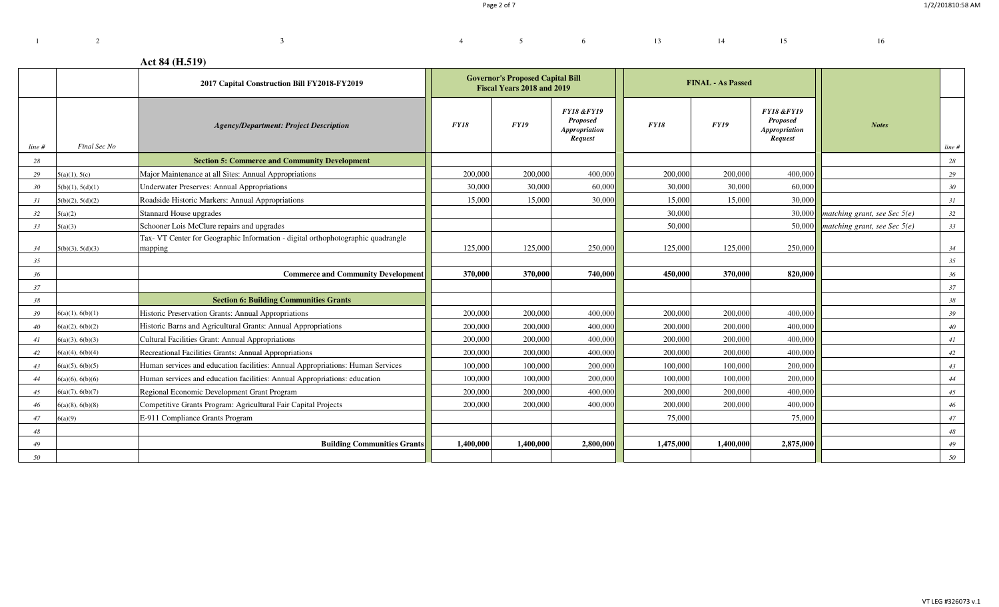# **Act 84 (H.519)**

<sup>3</sup>

|          |                                      | 2017 Capital Construction Bill FY2018-FY2019                                                                             | <b>Governor's Proposed Capital Bill</b><br>Fiscal Years 2018 and 2019 |                    |                                                                             |                    | <b>FINAL - As Passed</b> |                                                                             |                                |                 |
|----------|--------------------------------------|--------------------------------------------------------------------------------------------------------------------------|-----------------------------------------------------------------------|--------------------|-----------------------------------------------------------------------------|--------------------|--------------------------|-----------------------------------------------------------------------------|--------------------------------|-----------------|
| line #   | Final Sec No                         | <b>Agency/Department: Project Description</b>                                                                            | FY18                                                                  | <b>FY19</b>        | <b>FY18 &amp;FY19</b><br><b>Proposed</b><br><b>Appropriation</b><br>Request | <b>FY18</b>        | <b>FY19</b>              | <b>FY18 &amp;FY19</b><br><b>Proposed</b><br><b>Appropriation</b><br>Request | <b>Notes</b>                   | line #          |
| 28       |                                      | <b>Section 5: Commerce and Community Development</b>                                                                     |                                                                       |                    |                                                                             |                    |                          |                                                                             |                                | 28              |
| 29       | 5(a)(1), 5(c)                        | Major Maintenance at all Sites: Annual Appropriations                                                                    | 200,000                                                               | 200,000            | 400,000                                                                     | 200,000            | 200,000                  | 400,000                                                                     |                                | 29              |
| 30       | 5(b)(1), 5(d)(1)                     | <b>Underwater Preserves: Annual Appropriations</b>                                                                       | 30,000                                                                | 30,000             | 60,000                                                                      | 30,000             | 30,000                   | 60,000                                                                      |                                | 30 <sup>°</sup> |
| 31       | 5(b)(2), 5(d)(2)                     | Roadside Historic Markers: Annual Appropriations                                                                         | 15,000                                                                | 15,000             | 30,000                                                                      | 15,000             | 15,000                   | 30,000                                                                      |                                | 31              |
| 32       | 5(a)(2)                              | Stannard House upgrades                                                                                                  |                                                                       |                    |                                                                             | 30,000             |                          | 30,000                                                                      | matching grant, see Sec $5(e)$ | 32              |
| 33       | 5(a)(3)                              | Schooner Lois McClure repairs and upgrades                                                                               |                                                                       |                    |                                                                             | 50,000             |                          | 50,000                                                                      | matching grant, see Sec $5(e)$ | 33              |
| 34       | 5(b)(3), 5(d)(3)                     | Tax- VT Center for Geographic Information - digital orthophotographic quadrangle<br>mapping                              | 125,000                                                               | 125,000            | 250,000                                                                     | 125,000            | 125,000                  | 250,000                                                                     |                                | 34              |
| 35       |                                      |                                                                                                                          |                                                                       |                    |                                                                             |                    |                          |                                                                             |                                | 35              |
| 36       |                                      | <b>Commerce and Community Development</b>                                                                                | 370,000                                                               | 370,000            | 740,000                                                                     | 450,000            | 370,000                  | 820,000                                                                     |                                | 36              |
| 37<br>38 |                                      | <b>Section 6: Building Communities Grants</b>                                                                            |                                                                       |                    |                                                                             |                    |                          |                                                                             |                                | 37<br>38        |
|          |                                      |                                                                                                                          |                                                                       |                    |                                                                             |                    |                          |                                                                             |                                |                 |
|          |                                      |                                                                                                                          |                                                                       |                    |                                                                             |                    |                          |                                                                             |                                |                 |
| 39       | 6(a)(1), 6(b)(1)                     | Historic Preservation Grants: Annual Appropriations                                                                      | 200,000                                                               | 200,000            | 400,000                                                                     | 200,000            | 200,000                  | 400,000                                                                     |                                | 39              |
| 40       | 6(a)(2), 6(b)(2)                     | Historic Barns and Agricultural Grants: Annual Appropriations                                                            | 200,000                                                               | 200,000            | 400,000                                                                     | 200,000            | 200,000                  | 400,000                                                                     |                                | 40              |
| 41       | 6(a)(3), 6(b)(3)                     | Cultural Facilities Grant: Annual Appropriations                                                                         | 200,000                                                               | 200,000            | 400,000                                                                     | 200,000            | 200,000                  | 400,000                                                                     |                                | 41              |
| 42       | 6(a)(4), 6(b)(4)                     | Recreational Facilities Grants: Annual Appropriations                                                                    | 200,000                                                               | 200,000            | 400,000                                                                     | 200,000            | 200,000                  | 400,000                                                                     |                                | 42              |
| 43<br>44 | 6(a)(5), 6(b)(5)<br>6(a)(6), 6(b)(6) | Human services and education facilities: Annual Appropriations: Human Services                                           | 100,000<br>100,000                                                    | 100,000<br>100,000 | 200,000<br>200,000                                                          | 100,000<br>100,000 | 100,000<br>100,000       | 200,000<br>200,000                                                          |                                | 43<br>44        |
| 45       | 6(a)(7), 6(b)(7)                     | Human services and education facilities: Annual Appropriations: education<br>Regional Economic Development Grant Program | 200,000                                                               | 200,000            | 400,000                                                                     | 200,000            | 200,000                  | 400,000                                                                     |                                | 45              |
| 46       | 6(a)(8), 6(b)(8)                     | Competitive Grants Program: Agricultural Fair Capital Projects                                                           | 200,000                                                               | 200,000            | 400,000                                                                     | 200,000            | 200,000                  | 400,000                                                                     |                                | $46\,$          |
| 47       | 6(a)(9)                              | E-911 Compliance Grants Program                                                                                          |                                                                       |                    |                                                                             | 75,000             |                          | 75,000                                                                      |                                | 47              |
| 48       |                                      |                                                                                                                          |                                                                       |                    |                                                                             |                    |                          |                                                                             |                                | 48              |
| 49       |                                      | <b>Building Communities Grants</b>                                                                                       | 1.400.000                                                             | 1.400.000          | 2,800,000                                                                   | 1,475,000          | 1.400.000                | 2,875,000                                                                   |                                | 49              |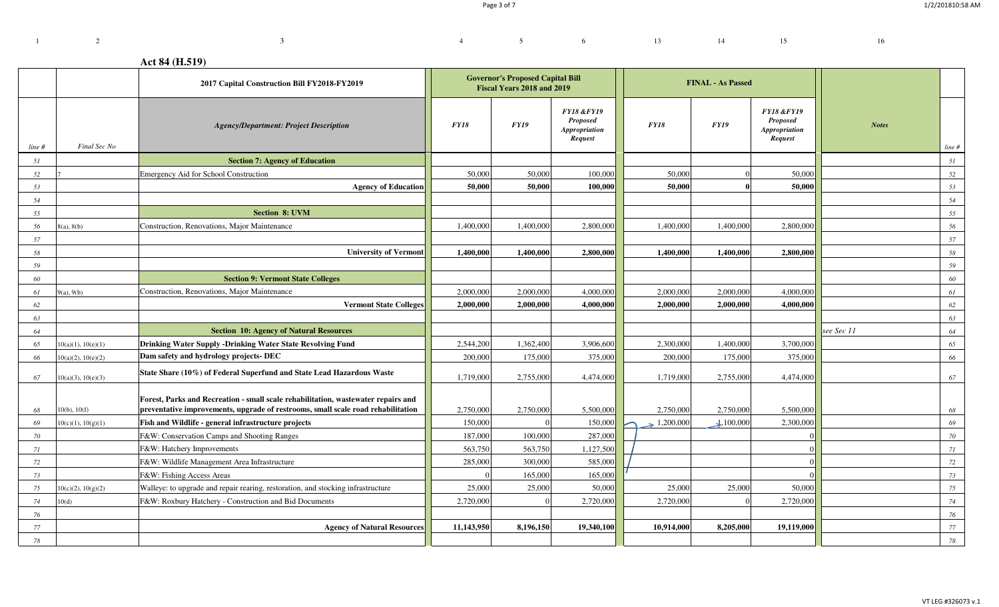# **Act 84 (H.519)**

<sup>3</sup>

|          |                             | 2017 Capital Construction Bill FY2018-FY2019                                                                                               | <b>Governor's Proposed Capital Bill</b><br>Fiscal Years 2018 and 2019 |                    |                                                                             |                         | <b>FINAL - As Passed</b> |                                                                      |              |          |
|----------|-----------------------------|--------------------------------------------------------------------------------------------------------------------------------------------|-----------------------------------------------------------------------|--------------------|-----------------------------------------------------------------------------|-------------------------|--------------------------|----------------------------------------------------------------------|--------------|----------|
| line #   | Final Sec No                | <b>Agency/Department: Project Description</b>                                                                                              | FY18                                                                  | <b>FY19</b>        | <b>FY18 &amp;FY19</b><br><b>Proposed</b><br><b>Appropriation</b><br>Request | <b>FY18</b>             | <b>FY19</b>              | <b>FY18 &amp;FY19</b><br><b>Proposed</b><br>Appropriation<br>Request | <b>Notes</b> | line #   |
| 51       |                             | <b>Section 7: Agency of Education</b>                                                                                                      |                                                                       |                    |                                                                             |                         |                          |                                                                      |              | 51       |
| 52       |                             | <b>Emergency Aid for School Construction</b>                                                                                               | 50,000                                                                | 50,000             | 100,000                                                                     | 50,000                  |                          | 50,000                                                               |              | 52       |
| 53       |                             | <b>Agency of Education</b>                                                                                                                 | 50,000                                                                | 50,000             | 100.000                                                                     | 50,000                  |                          | 50,000                                                               |              | 53       |
| 54       |                             |                                                                                                                                            |                                                                       |                    |                                                                             |                         |                          |                                                                      |              | 54       |
| 55       |                             | <b>Section 8: UVM</b>                                                                                                                      |                                                                       |                    |                                                                             |                         |                          |                                                                      |              | 55       |
| 56       | 8(a), 8(b)                  | Construction, Renovations, Major Maintenance                                                                                               | 1,400,000                                                             | 1,400,000          | 2,800,000                                                                   | 1,400,000               | 1,400,000                | 2,800,000                                                            |              | 56       |
| 57       |                             |                                                                                                                                            |                                                                       |                    |                                                                             |                         |                          |                                                                      |              | 57       |
| 58       |                             | <b>University of Vermont</b>                                                                                                               | 1,400,000                                                             | 1,400,000          | 2,800,000                                                                   | 1,400,000               | 1,400,000                | 2,800,000                                                            |              | 58       |
| 59       |                             |                                                                                                                                            |                                                                       |                    |                                                                             |                         |                          |                                                                      |              | 59       |
| 60       |                             | <b>Section 9: Vermont State Colleges</b>                                                                                                   |                                                                       |                    |                                                                             |                         |                          |                                                                      |              | 60       |
| 61       | 9(a), 9(b)                  | Construction, Renovations, Major Maintenance                                                                                               | 2,000,000                                                             | 2,000,000          | 4,000,000                                                                   | 2,000,000               | 2,000,000                | 4,000,000                                                            |              | 61       |
| 62       |                             | <b>Vermont State Colleges</b>                                                                                                              | 2.000.000                                                             | 2.000.000          | 4.000.000                                                                   | 2,000,000               | 2,000,000                | 4.000.000                                                            |              | 62       |
| 63       |                             |                                                                                                                                            |                                                                       |                    |                                                                             |                         |                          |                                                                      |              | 63       |
| 64       |                             | <b>Section 10: Agency of Natural Resources</b>                                                                                             |                                                                       |                    |                                                                             |                         |                          |                                                                      | see Sec 11   | 64       |
| 65       | 10(a)(1), 10(e)(1)          | <b>Drinking Water Supply -Drinking Water State Revolving Fund</b>                                                                          | 2,544,200                                                             | 1,362,400          | 3,906,600                                                                   | 2,300,000               | 1,400,000                | 3,700,000                                                            |              | 65       |
| 66       | 10(a)(2), 10(e)(2)          | Dam safety and hydrology projects- DEC                                                                                                     | 200,000                                                               | 175,000            | 375,000                                                                     | 200,000                 | 175,000                  | 375,000                                                              |              | 66       |
| 67       | 10(a)(3), 10(e)(3)          | State Share (10%) of Federal Superfund and State Lead Hazardous Waste                                                                      | 1,719,000                                                             | 2,755,000          | 4,474,000                                                                   | 1,719,000               | 2,755,000                | 4,474,000                                                            |              | 67       |
|          |                             | Forest, Parks and Recreation - small scale rehabilitation, wastewater repairs and                                                          |                                                                       |                    |                                                                             |                         |                          |                                                                      |              |          |
| 68       | $10(b)$ , $10(f)$           | preventative improvements, upgrade of restrooms, small scale road rehabilitation                                                           | 2,750,000                                                             | 2,750,000          | 5,500,000                                                                   | 2,750,000               | 2,750,000                | 5,500,000                                                            |              | 68       |
| 69       | 10(c)(1), 10(g)(1)          | Fish and Wildlife - general infrastructure projects                                                                                        | 150,000                                                               |                    | 150,000                                                                     | $\rightarrow 1,200,000$ | $\downarrow$ ,100,000    | 2,300,000                                                            |              | 69       |
| 70       |                             | F&W: Conservation Camps and Shooting Ranges                                                                                                | 187,000                                                               | 100,000            | 287,000                                                                     |                         |                          |                                                                      |              | 70       |
| 71       |                             | F&W: Hatchery Improvements                                                                                                                 | 563,750                                                               | 563,750<br>300,000 | 1,127,500<br>585,000                                                        |                         |                          |                                                                      |              | 71       |
| 72       |                             | F&W: Wildlife Management Area Infrastructure<br>F&W: Fishing Access Areas                                                                  | 285,000                                                               | 165,000            | 165,000                                                                     |                         |                          |                                                                      |              | 72       |
| 73       |                             |                                                                                                                                            |                                                                       |                    |                                                                             |                         |                          |                                                                      |              | 73       |
| 75<br>74 | 10(c)(2), 10(g)(2)<br>10(d) | Walleye: to upgrade and repair rearing, restoration, and stocking infrastructure<br>F&W: Roxbury Hatchery - Construction and Bid Documents | 25,000<br>2,720,000                                                   | 25,000             | 50,000<br>2,720,000                                                         | 25,000<br>2,720,000     | 25,000                   | 50,000<br>2,720,000                                                  |              | 75<br>74 |
| 76       |                             |                                                                                                                                            |                                                                       |                    |                                                                             |                         |                          |                                                                      |              | 76       |
| 77       |                             | <b>Agency of Natural Resources</b>                                                                                                         | 11,143,950                                                            | 8,196,150          | 19,340,100                                                                  | 10,914,000              | 8,205,000                | 19,119,000                                                           |              | 77       |
| 78       |                             |                                                                                                                                            |                                                                       |                    |                                                                             |                         |                          |                                                                      |              | 78       |
|          |                             |                                                                                                                                            |                                                                       |                    |                                                                             |                         |                          |                                                                      |              |          |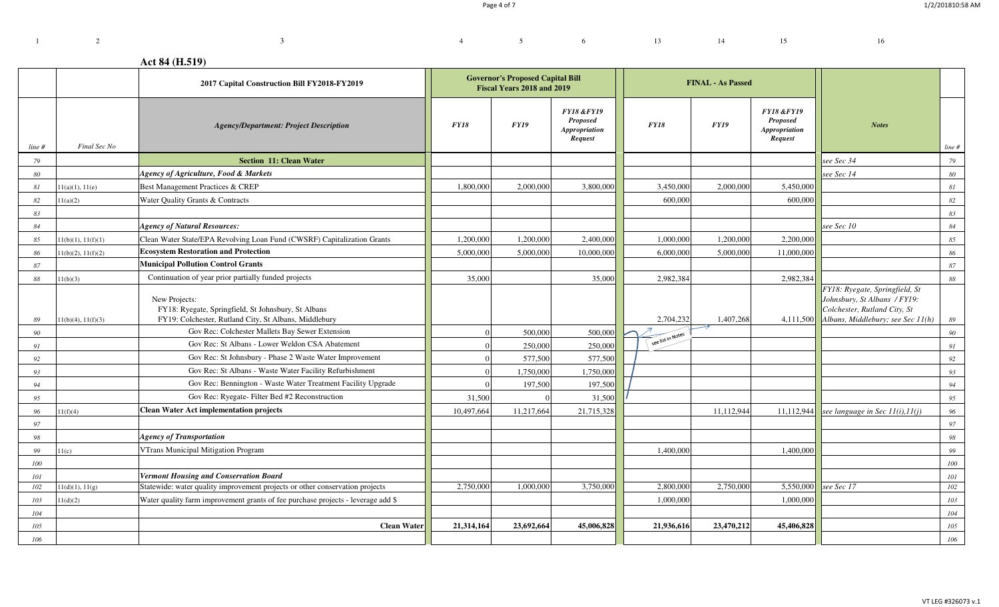$4 \t 5 \t 6 \t 13 \t 14 \t 15 \t 16$ 

# **Act 84 (H.519)**

<sup>3</sup>

|        |                    | 2017 Capital Construction Bill FY2018-FY2019                                                                                  | <b>Governor's Proposed Capital Bill</b><br>Fiscal Years 2018 and 2019 |             |                                                                             |                   | <b>FINAL - As Passed</b> |                                                                      |                                                                                                                                     |             |
|--------|--------------------|-------------------------------------------------------------------------------------------------------------------------------|-----------------------------------------------------------------------|-------------|-----------------------------------------------------------------------------|-------------------|--------------------------|----------------------------------------------------------------------|-------------------------------------------------------------------------------------------------------------------------------------|-------------|
| line # | Final Sec No       | <b>Agency/Department: Project Description</b>                                                                                 | <i>FY18</i>                                                           | <b>FY19</b> | <b>FY18 &amp;FY19</b><br><b>Proposed</b><br><b>Appropriation</b><br>Request | <b>FY18</b>       | <b>FY19</b>              | <b>FY18 &amp;FY19</b><br><b>Proposed</b><br>Appropriation<br>Request | <b>Notes</b>                                                                                                                        | line #      |
| 79     |                    | <b>Section 11: Clean Water</b>                                                                                                |                                                                       |             |                                                                             |                   |                          |                                                                      | see Sec 34                                                                                                                          | 79          |
| 80     |                    | <b>Agency of Agriculture, Food &amp; Markets</b>                                                                              |                                                                       |             |                                                                             |                   |                          |                                                                      | see Sec 14                                                                                                                          | 80          |
| 81     | 11(a)(1), 11(e)    | Best Management Practices & CREP                                                                                              | 1,800,000                                                             | 2,000,000   | 3,800,000                                                                   | 3,450,000         | 2,000,000                | 5,450,000                                                            |                                                                                                                                     | $\sqrt{8}I$ |
| 82     | 11(a)(2)           | Water Quality Grants & Contracts                                                                                              |                                                                       |             |                                                                             | 600,000           |                          | 600,000                                                              |                                                                                                                                     | 82          |
| 83     |                    |                                                                                                                               |                                                                       |             |                                                                             |                   |                          |                                                                      |                                                                                                                                     | 83          |
| 84     |                    | <b>Agency of Natural Resources:</b>                                                                                           |                                                                       |             |                                                                             |                   |                          |                                                                      | see Sec 10                                                                                                                          | 84          |
| 85     | 1(b)(1), 11(f)(1)  | Clean Water State/EPA Revolving Loan Fund (CWSRF) Capitalization Grants                                                       | 1,200,000                                                             | 1,200,000   | 2,400,000                                                                   | 1,000,000         | 1,200,000                | 2,200,000                                                            |                                                                                                                                     | 85          |
| 86     | 11(b)(2), 11(f)(2) | <b>Ecosystem Restoration and Protection</b>                                                                                   | 5,000,000                                                             | 5,000,000   | 10,000,000                                                                  | 6,000,000         | 5,000,000                | 11,000,000                                                           |                                                                                                                                     | 86          |
| 87     |                    | <b>Municipal Pollution Control Grants</b>                                                                                     |                                                                       |             |                                                                             |                   |                          |                                                                      |                                                                                                                                     | 87          |
| 88     | 1(b)(3)            | Continuation of year prior partially funded projects                                                                          | 35,000                                                                |             | 35,000                                                                      | 2,982,384         |                          | 2,982,384                                                            |                                                                                                                                     | 88          |
| 89     | 1(b)(4), 11(f)(3)  | New Projects:<br>FY18: Ryegate, Springfield, St Johnsbury, St Albans<br>FY19: Colchester, Rutland City, St Albans, Middlebury |                                                                       |             |                                                                             | 2,704,232         | 1,407,268                | 4,111,500                                                            | FY18: Ryegate, Springfield, St<br>Johnsbury, St Albans / FY19:<br>Colchester, Rutland City, St<br>Albans, Middlebury; see Sec 11(h) | 89          |
| 90     |                    | Gov Rec: Colchester Mallets Bay Sewer Extension                                                                               |                                                                       | 500,000     | 500,000                                                                     |                   |                          |                                                                      |                                                                                                                                     | 90          |
| 91     |                    | Gov Rec: St Albans - Lower Weldon CSA Abatement                                                                               |                                                                       | 250,000     | 250,000                                                                     | see list in Notes |                          |                                                                      |                                                                                                                                     | 91          |
| 92     |                    | Gov Rec: St Johnsbury - Phase 2 Waste Water Improvement                                                                       |                                                                       | 577,500     | 577,500                                                                     |                   |                          |                                                                      |                                                                                                                                     | 92          |
| 93     |                    | Gov Rec: St Albans - Waste Water Facility Refurbishment                                                                       |                                                                       | 1,750,000   | 1,750,000                                                                   |                   |                          |                                                                      |                                                                                                                                     | 93          |
| 94     |                    | Gov Rec: Bennington - Waste Water Treatment Facility Upgrade                                                                  |                                                                       | 197,500     | 197,500                                                                     |                   |                          |                                                                      |                                                                                                                                     | 94          |
| 95     |                    | Gov Rec: Ryegate- Filter Bed #2 Reconstruction                                                                                | 31,500                                                                |             | 31,500                                                                      |                   |                          |                                                                      |                                                                                                                                     | 95          |
| 96     | 1(f)(4)            | <b>Clean Water Act implementation projects</b>                                                                                | 10,497,664                                                            | 11,217,664  | 21,715,328                                                                  |                   | 11,112,944               | 11,112,944                                                           | see language in Sec 11(i), 11(j)                                                                                                    | 96          |
| 97     |                    |                                                                                                                               |                                                                       |             |                                                                             |                   |                          |                                                                      |                                                                                                                                     | 97          |
| 98     |                    | <b>Agency of Transportation</b>                                                                                               |                                                                       |             |                                                                             |                   |                          |                                                                      |                                                                                                                                     | 98          |
| 99     | 11(c)              | VTrans Municipal Mitigation Program                                                                                           |                                                                       |             |                                                                             | 1,400,000         |                          | 1,400,000                                                            |                                                                                                                                     | 99          |
| 100    |                    |                                                                                                                               |                                                                       |             |                                                                             |                   |                          |                                                                      |                                                                                                                                     | 100         |
| 101    |                    | <b>Vermont Housing and Conservation Board</b>                                                                                 |                                                                       |             |                                                                             |                   |                          |                                                                      |                                                                                                                                     | 101         |
| 102    | 11(d)(1), 11(g)    | Statewide: water quality improvement projects or other conservation projects                                                  | 2,750,000                                                             | 1,000,000   | 3,750,000                                                                   | 2,800,000         | 2,750,000                | 5,550,000                                                            | see Sec 17                                                                                                                          | 102         |
| 103    | 11(d)(2)           | Water quality farm improvement grants of fee purchase projects - leverage add \$                                              |                                                                       |             |                                                                             | 1,000,000         |                          | 1,000,000                                                            |                                                                                                                                     | 103         |
| 104    |                    |                                                                                                                               |                                                                       |             |                                                                             |                   |                          |                                                                      |                                                                                                                                     | 104         |
| 105    |                    | <b>Clean Water</b>                                                                                                            | 21,314,164                                                            | 23,692,664  | 45,006,828                                                                  | 21,936,616        | 23,470,212               | 45,406,828                                                           |                                                                                                                                     | 105         |
| 106    |                    |                                                                                                                               |                                                                       |             |                                                                             |                   |                          |                                                                      |                                                                                                                                     | 106         |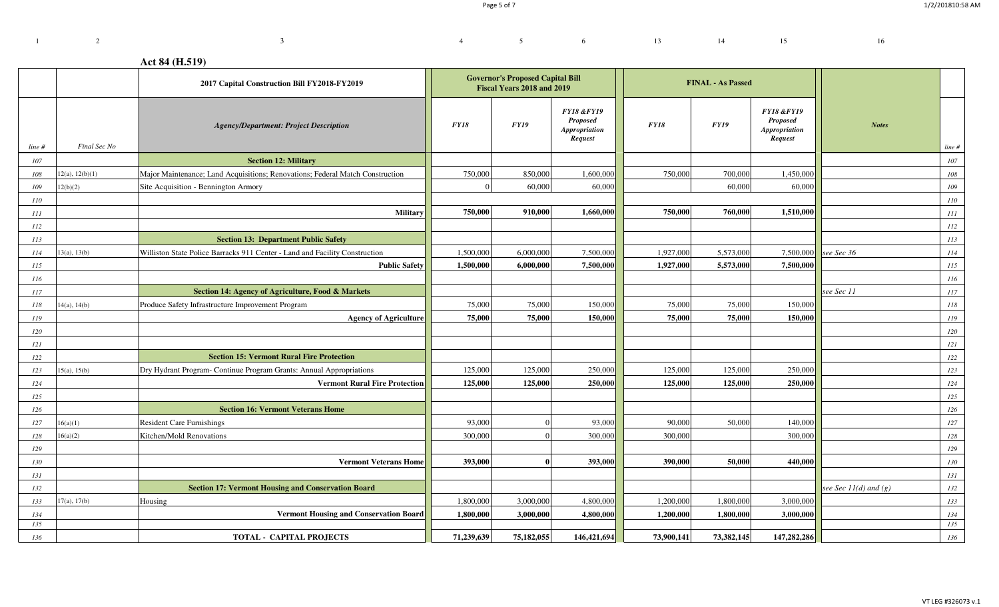# **Act 84 (H.519)**

<sup>3</sup>

|        |                 | 2017 Capital Construction Bill FY2018-FY2019                                  | <b>Governor's Proposed Capital Bill</b><br>Fiscal Years 2018 and 2019 |            |                                                                             | <b>FINAL - As Passed</b> |            |             |                                                                      |                           |            |
|--------|-----------------|-------------------------------------------------------------------------------|-----------------------------------------------------------------------|------------|-----------------------------------------------------------------------------|--------------------------|------------|-------------|----------------------------------------------------------------------|---------------------------|------------|
| line # | Final Sec No    | <b>Agency/Department: Project Description</b>                                 | <b>FY18</b>                                                           | FY19       | <b>FY18 &amp;FY19</b><br><b>Proposed</b><br><b>Appropriation</b><br>Request | <b>FY18</b>              |            | <b>FY19</b> | <b>FY18 &amp;FY19</b><br><b>Proposed</b><br>Appropriation<br>Request | <b>Notes</b>              | line#      |
| 107    |                 | <b>Section 12: Military</b>                                                   |                                                                       |            |                                                                             |                          |            |             |                                                                      |                           | 107        |
| 108    | 12(a), 12(b)(1) | Major Maintenance; Land Acquisitions; Renovations; Federal Match Construction | 750,000                                                               | 850,000    | 1,600,000                                                                   |                          | 750,000    | 700,000     | 1,450,000                                                            |                           | $108\,$    |
| 109    | 12(b)(2)        | Site Acquisition - Bennington Armory                                          |                                                                       | 60,000     | 60,000                                                                      |                          |            | 60,000      | 60,000                                                               |                           | 109        |
| 110    |                 |                                                                               |                                                                       |            |                                                                             |                          |            |             |                                                                      |                           | 110        |
| 111    |                 | Military                                                                      | 750,000                                                               | 910,000    | 1,660,000                                                                   |                          | 750,000    | 760,000     | 1,510,000                                                            |                           | $\cal III$ |
| 112    |                 |                                                                               |                                                                       |            |                                                                             |                          |            |             |                                                                      |                           | 112        |
| 113    |                 | <b>Section 13: Department Public Safety</b>                                   |                                                                       |            |                                                                             |                          |            |             |                                                                      |                           | 113        |
| 114    | 13(a), 13(b)    | Williston State Police Barracks 911 Center - Land and Facility Construction   | 1,500,000                                                             | 6,000,000  | 7,500,000                                                                   |                          | 1,927,000  | 5,573,000   | 7,500,000                                                            | see Sec 36                | 114        |
| 115    |                 | <b>Public Safety</b>                                                          | 1,500,000                                                             | 6,000,000  | 7,500,000                                                                   |                          | 1,927,000  | 5,573,000   | 7,500,000                                                            |                           | 115        |
| 116    |                 |                                                                               |                                                                       |            |                                                                             |                          |            |             |                                                                      |                           | 116        |
| 117    |                 | Section 14: Agency of Agriculture, Food & Markets                             |                                                                       |            |                                                                             |                          |            |             |                                                                      | see Sec 11                | 117        |
| 118    | 4(a), 14(b)     | Produce Safety Infrastructure Improvement Program                             | 75,000                                                                | 75,000     | 150,000                                                                     |                          | 75,000     | 75,000      | 150,000                                                              |                           | 118        |
| 119    |                 | <b>Agency of Agriculture</b>                                                  | 75,000                                                                | 75,000     | 150,000                                                                     |                          | 75,000     | 75,000      | 150,000                                                              |                           | 119        |
| 120    |                 |                                                                               |                                                                       |            |                                                                             |                          |            |             |                                                                      |                           | 120        |
| 121    |                 |                                                                               |                                                                       |            |                                                                             |                          |            |             |                                                                      |                           | 121        |
| 122    |                 | <b>Section 15: Vermont Rural Fire Protection</b>                              |                                                                       |            |                                                                             |                          |            |             |                                                                      |                           | 122        |
| 123    | 15(a), 15(b)    | Dry Hydrant Program- Continue Program Grants: Annual Appropriations           | 125,000                                                               | 125,000    | 250,000                                                                     |                          | 125,000    | 125,000     | 250,000                                                              |                           | 123        |
| 124    |                 | <b>Vermont Rural Fire Protection</b>                                          | 125,000                                                               | 125,000    | 250,000                                                                     |                          | 125,000    | 125,000     | 250,000                                                              |                           | 124        |
| 125    |                 |                                                                               |                                                                       |            |                                                                             |                          |            |             |                                                                      |                           | 125        |
| 126    |                 | <b>Section 16: Vermont Veterans Home</b>                                      |                                                                       |            |                                                                             |                          |            |             |                                                                      |                           | 126        |
| 127    | 16(a)(1)        | <b>Resident Care Furnishings</b>                                              | 93,000                                                                |            | 93,000                                                                      |                          | 90,000     | 50,000      | 140,000                                                              |                           | 127        |
| 128    | 16(a)(2)        | Kitchen/Mold Renovations                                                      | 300,000                                                               |            | 300,000                                                                     |                          | 300,000    |             | 300,000                                                              |                           | 128        |
| 129    |                 |                                                                               |                                                                       |            |                                                                             |                          |            |             |                                                                      |                           | 129        |
| 130    |                 | <b>Vermont Veterans Home</b>                                                  | 393,000                                                               |            | 393,000                                                                     |                          | 390,000    | 50,000      | 440,000                                                              |                           | 130        |
| 131    |                 |                                                                               |                                                                       |            |                                                                             |                          |            |             |                                                                      |                           | 131        |
| 132    |                 | <b>Section 17: Vermont Housing and Conservation Board</b>                     |                                                                       |            |                                                                             |                          |            |             |                                                                      | see Sec $11(d)$ and $(g)$ | 132        |
| 133    | 17(a), 17(b)    | Housing                                                                       | 1,800,000                                                             | 3,000,000  | 4,800,000                                                                   |                          | 1,200,000  | 1,800,000   | 3,000,000                                                            |                           | 133        |
| 134    |                 | <b>Vermont Housing and Conservation Board</b>                                 | 1,800,000                                                             | 3,000,000  | 4,800,000                                                                   |                          | 1,200,000  | 1,800,000   | 3,000,000                                                            |                           | 134        |
| 135    |                 |                                                                               |                                                                       |            |                                                                             |                          |            |             |                                                                      |                           | 135        |
| 136    |                 | <b>TOTAL - CAPITAL PROJECTS</b>                                               | 71,239,639                                                            | 75,182,055 | 146,421,694                                                                 |                          | 73,900,141 | 73,382,145  | 147,282,286                                                          |                           | 136        |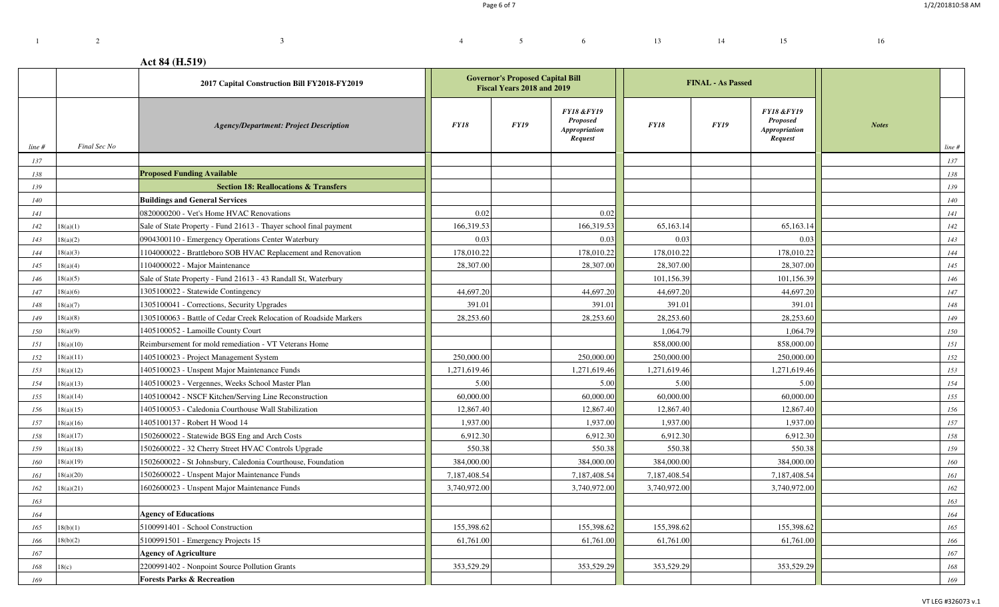Page 6 of 7

4 5 6 13 14 15 16

# **Act 84 (H.519)**

<sup>3</sup>

1 2

|        |              | 2017 Capital Construction Bill FY2018-FY2019                      |              | <b>Governor's Proposed Capital Bill</b><br>Fiscal Years 2018 and 2019 |                                                                             |              | <b>FINAL - As Passed</b> |                                                                      |                        |           |
|--------|--------------|-------------------------------------------------------------------|--------------|-----------------------------------------------------------------------|-----------------------------------------------------------------------------|--------------|--------------------------|----------------------------------------------------------------------|------------------------|-----------|
| line # | Final Sec No | <b>Agency/Department: Project Description</b>                     | <i>FY18</i>  | FY19                                                                  | <b>FY18 &amp;FY19</b><br><b>Proposed</b><br><b>Appropriation</b><br>Request | <b>FY18</b>  | <b>FY19</b>              | <b>FY18 &amp;FY19</b><br><b>Proposed</b><br>Appropriation<br>Request | <b>Notes</b><br>line # |           |
| 137    |              |                                                                   |              |                                                                       |                                                                             |              |                          |                                                                      |                        | 137       |
| 138    |              | <b>Proposed Funding Available</b>                                 |              |                                                                       |                                                                             |              |                          |                                                                      |                        | 138       |
| 139    |              | <b>Section 18: Reallocations &amp; Transfers</b>                  |              |                                                                       |                                                                             |              |                          |                                                                      |                        | 139       |
| 140    |              | <b>Buildings and General Services</b>                             |              |                                                                       |                                                                             |              |                          |                                                                      |                        | 140       |
| 141    |              | 0820000200 - Vet's Home HVAC Renovations                          | 0.02         |                                                                       | 0.02                                                                        |              |                          |                                                                      |                        | 141       |
| 142    | 18(a)(1)     | Sale of State Property - Fund 21613 - Thayer school final payment | 166,319.53   |                                                                       | 166,319.53                                                                  | 65,163.14    |                          | 65,163.14                                                            |                        | $142\,$   |
| 143    | 8(a)(2)      | 0904300110 - Emergency Operations Center Waterbury                | 0.03         |                                                                       | 0.03                                                                        | 0.03         |                          | 0.03                                                                 |                        | 143       |
| 144    | 8(a)(3)      | 1104000022 - Brattleboro SOB HVAC Replacement and Renovation      | 178,010.22   |                                                                       | 178,010.22                                                                  | 178,010.22   |                          | 178,010.22                                                           |                        | 144       |
| 145    | 8(a)(4)      | 1104000022 - Major Maintenance                                    | 28,307.00    |                                                                       | 28,307.00                                                                   | 28,307.00    |                          | 28,307.00                                                            |                        | 145       |
| 146    | 8(a)(5)      | Sale of State Property - Fund 21613 - 43 Randall St, Waterbury    |              |                                                                       |                                                                             | 101,156.39   |                          | 101,156.39                                                           |                        | 146       |
| 147    | 8(a)(6)      | 1305100022 - Statewide Contingency                                | 44,697.20    |                                                                       | 44,697.20                                                                   | 44,697.20    |                          | 44,697.20                                                            |                        | 147       |
| 148    | 8(a)(7)      | 1305100041 - Corrections, Security Upgrades                       | 391.01       |                                                                       | 391.01                                                                      | 391.01       |                          | 391.01                                                               |                        | 148       |
| 149    | 8(a)(8)      | 1305100063 - Battle of Cedar Creek Relocation of Roadside Markers | 28,253.60    |                                                                       | 28,253.60                                                                   | 28,253.60    |                          | 28,253.60                                                            |                        | 149       |
| 150    | 8(a)(9)      | 1405100052 - Lamoille County Court                                |              |                                                                       |                                                                             | 1,064.79     |                          | 1,064.79                                                             |                        | 150       |
| 151    | 18(a)(10)    | Reimbursement for mold remediation - VT Veterans Home             |              |                                                                       |                                                                             | 858,000.00   |                          | 858,000.00                                                           |                        | 151       |
| 152    | 18(a)(11)    | 1405100023 - Project Management System                            | 250,000.00   |                                                                       | 250,000.00                                                                  | 250,000.00   |                          | 250,000.00                                                           |                        | $\it 152$ |
| 153    | 8(a)(12)     | 1405100023 - Unspent Major Maintenance Funds                      | 1,271,619.46 |                                                                       | 1,271,619.46                                                                | 1,271,619.46 |                          | 1,271,619.46                                                         |                        | 153       |
| 154    | 8(a)(13)     | 1405100023 - Vergennes, Weeks School Master Plan                  | 5.00         |                                                                       | 5.00                                                                        | 5.00         |                          | 5.00                                                                 |                        | 154       |
| 155    | 8(a)(14)     | 1405100042 - NSCF Kitchen/Serving Line Reconstruction             | 60,000.00    |                                                                       | 60,000.00                                                                   | 60,000.00    |                          | 60,000.00                                                            |                        | 155       |
| 156    | 8(a)(15)     | 1405100053 - Caledonia Courthouse Wall Stabilization              | 12,867.40    |                                                                       | 12,867.40                                                                   | 12,867.40    |                          | 12,867.40                                                            |                        | 156       |
| 157    | 8(a)(16)     | 1405100137 - Robert H Wood 14                                     | 1,937.00     |                                                                       | 1,937.00                                                                    | 1,937.00     |                          | 1,937.00                                                             |                        | $157\,$   |
| 158    | 8(a)(17)     | 1502600022 - Statewide BGS Eng and Arch Costs                     | 6,912.30     |                                                                       | 6,912.30                                                                    | 6,912.30     |                          | 6,912.30                                                             |                        | 158       |
| 159    | 8(a)(18)     | 1502600022 - 32 Cherry Street HVAC Controls Upgrade               | 550.38       |                                                                       | 550.38                                                                      | 550.38       |                          | 550.38                                                               |                        | 159       |
| 160    | 8(a)(19)     | 1502600022 - St Johnsbury, Caledonia Courthouse, Foundation       | 384,000.00   |                                                                       | 384,000.00                                                                  | 384,000.00   |                          | 384,000.00                                                           |                        | 160       |
| 161    | 8(a)(20)     | 1502600022 - Unspent Major Maintenance Funds                      | 7,187,408.54 |                                                                       | 7,187,408.54                                                                | 7,187,408.54 |                          | 7,187,408.54                                                         |                        | 161       |
| 162    | 8(a)(21)     | 1602600023 - Unspent Major Maintenance Funds                      | 3,740,972.00 |                                                                       | 3,740,972.00                                                                | 3,740,972.00 |                          | 3,740,972.00                                                         |                        | $162\,$   |
| 163    |              |                                                                   |              |                                                                       |                                                                             |              |                          |                                                                      |                        | 163       |
| 164    |              | <b>Agency of Educations</b>                                       |              |                                                                       |                                                                             |              |                          |                                                                      |                        | $164\,$   |
| 165    | 8(b)(1)      | 5100991401 - School Construction                                  | 155,398.62   |                                                                       | 155,398.62                                                                  | 155,398.62   |                          | 155,398.62                                                           |                        | 165       |
| 166    | 8(b)(2)      | 5100991501 - Emergency Projects 15                                | 61,761.00    |                                                                       | 61,761.00                                                                   | 61,761.00    |                          | 61,761.00                                                            |                        | $166\,$   |
| 167    |              | <b>Agency of Agriculture</b>                                      |              |                                                                       |                                                                             |              |                          |                                                                      |                        | 167       |
| 168    | 8(c)         | 2200991402 - Nonpoint Source Pollution Grants                     | 353,529.29   |                                                                       | 353,529.29                                                                  | 353,529.29   |                          | 353,529.29                                                           |                        | 168       |
| 169    |              | <b>Forests Parks &amp; Recreation</b>                             |              |                                                                       |                                                                             |              |                          |                                                                      |                        | 169       |

VT LEG #326073 v.1